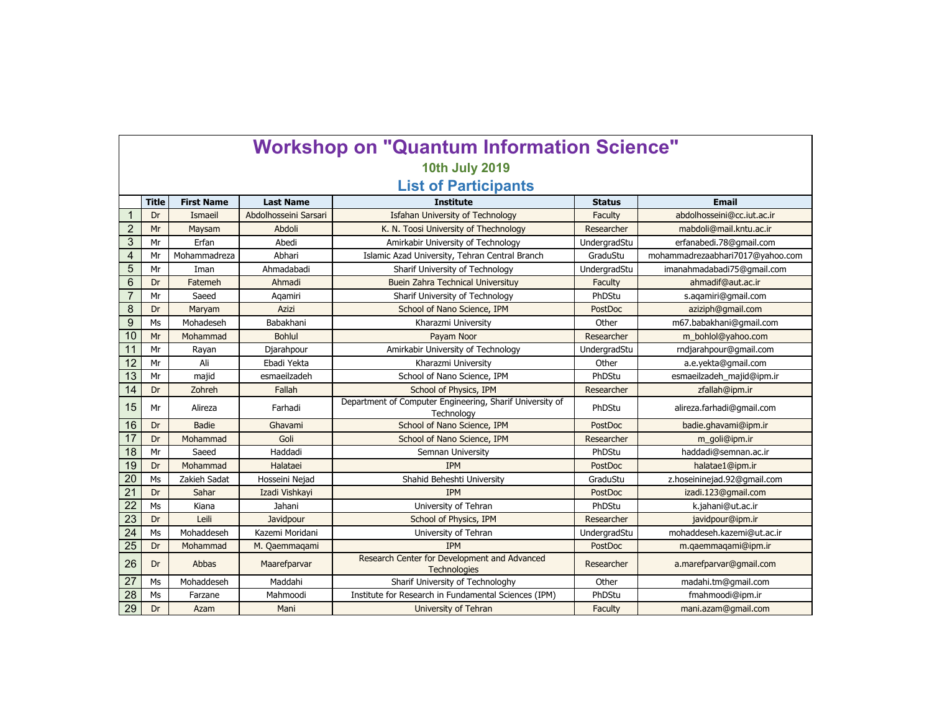| <b>Workshop on "Quantum Information Science"</b> |              |                   |                       |                                                                        |                |                                  |  |  |  |  |  |
|--------------------------------------------------|--------------|-------------------|-----------------------|------------------------------------------------------------------------|----------------|----------------------------------|--|--|--|--|--|
| <b>10th July 2019</b>                            |              |                   |                       |                                                                        |                |                                  |  |  |  |  |  |
| <b>List of Participants</b>                      |              |                   |                       |                                                                        |                |                                  |  |  |  |  |  |
|                                                  | <b>Title</b> | <b>First Name</b> | <b>Last Name</b>      | <b>Institute</b>                                                       | <b>Status</b>  | <b>Email</b>                     |  |  |  |  |  |
| $\mathbf 1$                                      | Dr           | Ismaeil           | Abdolhosseini Sarsari | <b>Isfahan University of Technology</b>                                | Faculty        | abdolhosseini@cc.jut.ac.jr       |  |  |  |  |  |
| $\overline{2}$                                   | Mr           | Maysam            | Abdoli                | K. N. Toosi University of Thechnology                                  | Researcher     | mabdoli@mail.kntu.ac.ir          |  |  |  |  |  |
| 3                                                | Mr           | Erfan             | Abedi                 | Amirkabir University of Technology                                     | UndergradStu   | erfanabedi.78@qmail.com          |  |  |  |  |  |
| $\overline{4}$                                   | Mr           | Mohammadreza      | Abhari                | Islamic Azad University, Tehran Central Branch                         | GraduStu       | mohammadrezaabhari7017@yahoo.com |  |  |  |  |  |
| 5                                                | Mr           | Iman              | Ahmadabadi            | Sharif University of Technology                                        | UndergradStu   | imanahmadabadi75@gmail.com       |  |  |  |  |  |
| 6                                                | Dr           | Fatemeh           | Ahmadi                | Buein Zahra Technical Universituy                                      | Faculty        | ahmadif@aut.ac.ir                |  |  |  |  |  |
| $\overline{7}$                                   | Mr           | Saeed             | Agamiri               | Sharif University of Technology                                        | PhDStu         | s.agamiri@gmail.com              |  |  |  |  |  |
| 8                                                | Dr           | Maryam            | Azizi                 | School of Nano Science, IPM                                            | PostDoc        | aziziph@gmail.com                |  |  |  |  |  |
| 9                                                | Ms           | Mohadeseh         | Babakhani             | Kharazmi University                                                    | Other          | m67.babakhani@gmail.com          |  |  |  |  |  |
| 10                                               | Mr           | Mohammad          | <b>Bohlul</b>         | Payam Noor                                                             | Researcher     | m bohlol@yahoo.com               |  |  |  |  |  |
| 11                                               | Mr           | Rayan             | Djarahpour            | Amirkabir University of Technology                                     | UndergradStu   | rndjarahpour@gmail.com           |  |  |  |  |  |
| 12                                               | Mr           | Ali               | Ebadi Yekta           | Kharazmi University                                                    | Other          | a.e.yekta@gmail.com              |  |  |  |  |  |
| 13                                               | Mr           | majid             | esmaeilzadeh          | School of Nano Science, IPM                                            | PhDStu         | esmaeilzadeh_majid@ipm.ir        |  |  |  |  |  |
| 14                                               | Dr           | Zohreh            | Fallah                | School of Physics, IPM                                                 | Researcher     | zfallah@ipm.ir                   |  |  |  |  |  |
| 15                                               | Mr           | Alireza           | Farhadi               | Department of Computer Engineering, Sharif University of<br>Technology | PhDStu         | alireza.farhadi@gmail.com        |  |  |  |  |  |
| 16                                               | Dr           | <b>Badie</b>      | Ghavami               | School of Nano Science, IPM                                            | PostDoc        | badie.ghavami@ipm.ir             |  |  |  |  |  |
| 17                                               | Dr           | Mohammad          | Goli                  | School of Nano Science, IPM                                            | Researcher     | m_goli@ipm.ir                    |  |  |  |  |  |
| 18                                               | Mr           | Saeed             | Haddadi               | Semnan University                                                      | PhDStu         | haddadi@semnan.ac.ir             |  |  |  |  |  |
| 19                                               | Dr           | Mohammad          | Halataei              | <b>IPM</b>                                                             | <b>PostDoc</b> | halatae1@ipm.ir                  |  |  |  |  |  |
| 20                                               | Ms           | Zakieh Sadat      | Hosseini Nejad        | Shahid Beheshti University                                             | GraduStu       | z.hoseininejad.92@gmail.com      |  |  |  |  |  |
| $\overline{21}$                                  | Dr           | Sahar             | Izadi Vishkayi        | <b>IPM</b>                                                             | PostDoc        | izadi.123@gmail.com              |  |  |  |  |  |
| $\overline{22}$                                  | Ms           | Kiana             | Jahani                | University of Tehran                                                   | PhDStu         | k.jahani@ut.ac.ir                |  |  |  |  |  |
| 23                                               | Dr           | Leili             | Javidpour             | School of Physics, IPM                                                 | Researcher     | javidpour@ipm.ir                 |  |  |  |  |  |
| 24                                               | Ms           | Mohaddeseh        | Kazemi Moridani       | University of Tehran                                                   | UndergradStu   | mohaddeseh.kazemi@ut.ac.ir       |  |  |  |  |  |
| 25                                               | Dr           | Mohammad          | M. Qaemmaqami         | <b>IPM</b>                                                             | PostDoc        | m.qaemmaqami@ipm.ir              |  |  |  |  |  |
| 26                                               | Dr           | Abbas             | Maarefparvar          | Research Center for Development and Advanced<br><b>Technologies</b>    | Researcher     | a.marefparvar@gmail.com          |  |  |  |  |  |
| $\overline{27}$                                  | Ms           | Mohaddeseh        | Maddahi               | Sharif University of Technologhy                                       | Other          | madahi.tm@gmail.com              |  |  |  |  |  |
| 28                                               | Ms           | Farzane           | Mahmoodi              | Institute for Research in Fundamental Sciences (IPM)                   | PhDStu         | fmahmoodi@ipm.ir                 |  |  |  |  |  |
| 29                                               | Dr           | Azam              | Mani                  | University of Tehran                                                   | Faculty        | mani.azam@gmail.com              |  |  |  |  |  |